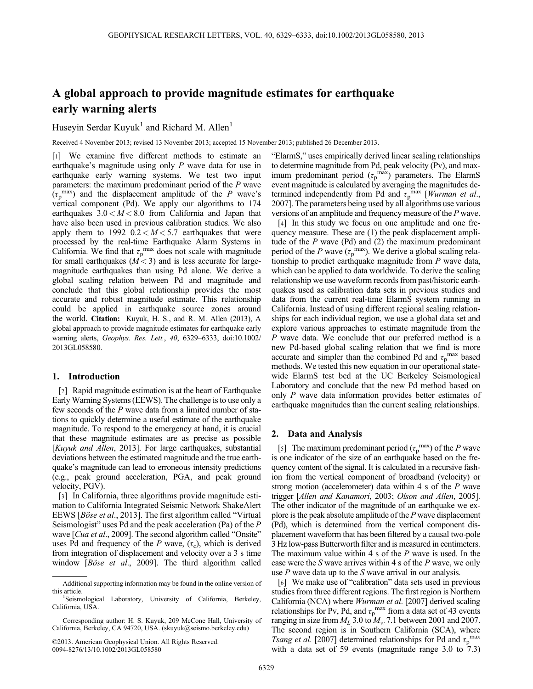# A global approach to provide magnitude estimates for earthquake early warning alerts

# Huseyin Serdar Kuyuk<sup>1</sup> and Richard M. Allen<sup>1</sup>

Received 4 November 2013; revised 13 November 2013; accepted 15 November 2013; published 26 December 2013.

[1] We examine five different methods to estimate an earthquake's magnitude using only P wave data for use in earthquake early warning systems. We test two input parameters: the maximum predominant period of the P wave  $(\tau_p^{\text{max}})$  and the displacement amplitude of the P wave's vertical component (Pd). We apply our algorithms to 174 earthquakes  $3.0 < M < 8.0$  from California and Japan that have also been used in previous calibration studies. We also apply them to 1992  $0.2 < M < 5.7$  earthquakes that were processed by the real-time Earthquake Alarm Systems in California. We find that  $\tau_p^{\text{max}}$  does not scale with magnitude for small earthquakes  $(M < 3)$  and is less accurate for largemagnitude earthquakes than using Pd alone. We derive a global scaling relation between Pd and magnitude and conclude that this global relationship provides the most accurate and robust magnitude estimate. This relationship could be applied in earthquake source zones around the world. Citation: Kuyuk, H. S., and R. M. Allen (2013), A global approach to provide magnitude estimates for earthquake early warning alerts, Geophys. Res. Lett., 40, 6329–6333, doi:10.1002/ 2013GL058580.

### 1. Introduction

[2] Rapid magnitude estimation is at the heart of Earthquake Early Warning Systems (EEWS). The challenge is to use only a few seconds of the P wave data from a limited number of stations to quickly determine a useful estimate of the earthquake magnitude. To respond to the emergency at hand, it is crucial that these magnitude estimates are as precise as possible [Kuyuk and Allen, 2013]. For large earthquakes, substantial deviations between the estimated magnitude and the true earthquake's magnitude can lead to erroneous intensity predictions (e.g., peak ground acceleration, PGA, and peak ground velocity, PGV).

[3] In California, three algorithms provide magnitude estimation to California Integrated Seismic Network ShakeAlert EEWS [Böse et al., 2013]. The first algorithm called "Virtual Seismologist" uses Pd and the peak acceleration (Pa) of the P wave [*Cua et al.*, 2009]. The second algorithm called "Onsite" uses Pd and frequency of the P wave,  $(\tau_c)$ , which is derived from integration of displacement and velocity over a 3 s time window [Böse et al., 2009]. The third algorithm called

©2013. American Geophysical Union. All Rights Reserved. 0094-8276/13/10.1002/2013GL058580

"ElarmS," uses empirically derived linear scaling relationships to determine magnitude from Pd, peak velocity (Pv), and maximum predominant period  $(\tau_p^{\text{max}})$  parameters. The ElarmS event magnitude is calculated by averaging the magnitudes determined independently from Pd and  $\tau_p^{\text{max}}$  [*Wurman et al.*, 2007]. The parameters being used by all algorithms use various versions of an amplitude and frequency measure of the P wave.

[4] In this study we focus on one amplitude and one frequency measure. These are (1) the peak displacement amplitude of the  $P$  wave (Pd) and (2) the maximum predominant period of the P wave  $(\tau_p^{\text{max}})$ . We derive a global scaling relationship to predict earthquake magnitude from P wave data, which can be applied to data worldwide. To derive the scaling relationship we use waveform records from past/historic earthquakes used as calibration data sets in previous studies and data from the current real-time ElarmS system running in California. Instead of using different regional scaling relationships for each individual region, we use a global data set and explore various approaches to estimate magnitude from the P wave data. We conclude that our preferred method is a new Pd-based global scaling relation that we find is more accurate and simpler than the combined Pd and  $\tau_{p}^{max}$  based methods. We tested this new equation in our operational statewide ElarmS test bed at the UC Berkeley Seismological Laboratory and conclude that the new Pd method based on only P wave data information provides better estimates of earthquake magnitudes than the current scaling relationships.

### 2. Data and Analysis

[5] The maximum predominant period  $(\tau_p^{\text{max}})$  of the P wave is one indicator of the size of an earthquake based on the frequency content of the signal. It is calculated in a recursive fashion from the vertical component of broadband (velocity) or strong motion (accelerometer) data within 4 s of the P wave trigger [Allen and Kanamori, 2003; Olson and Allen, 2005]. The other indicator of the magnitude of an earthquake we explore is the peak absolute amplitude of the  $P$  wave displacement (Pd), which is determined from the vertical component displacement waveform that has been filtered by a causal two-pole 3 Hz low-pass Butterworth filter and is measured in centimeters. The maximum value within 4 s of the  $P$  wave is used. In the case were the S wave arrives within 4 s of the P wave, we only use  $P$  wave data up to the  $S$  wave arrival in our analysis.

[6] We make use of "calibration" data sets used in previous studies from three different regions. The first region is Northern California (NCA) where Wurman et al. [2007] derived scaling relationships for Pv, Pd, and  $\tau_{p}^{max}$  from a data set of 43 events ranging in size from  $M_L$  3.0 to  $M_w$  7.1 between 2001 and 2007. The second region is in Southern California (SCA), where Tsang et al. [2007] determined relationships for Pd and  $\tau_{\rm p}^{\rm max}$ with a data set of 59 events (magnitude range 3.0 to 7.3)

Additional supporting information may be found in the online version of this article. <sup>1</sup>

Seismological Laboratory, University of California, Berkeley, California, USA.

Corresponding author: H. S. Kuyuk, 209 McCone Hall, University of California, Berkeley, CA 94720, USA. (skuyuk@seismo.berkeley.edu)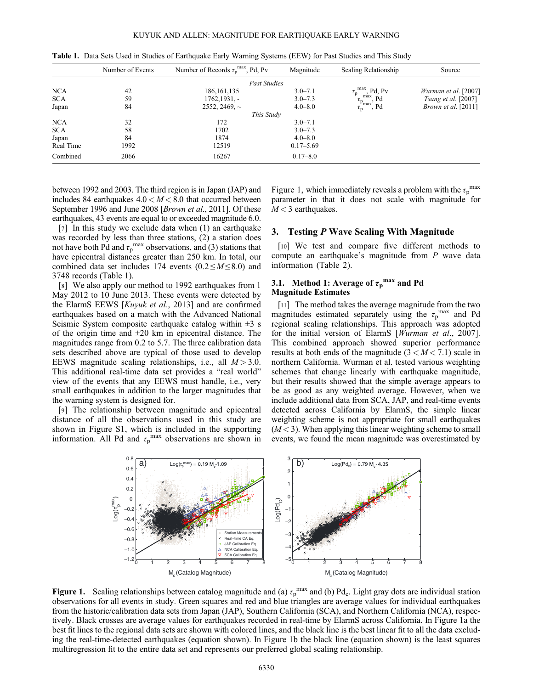|            | Number of Events | Number of Records $\tau_p^{\text{max}}$ , Pd, Pv | Magnitude     | Scaling Relationship                                           | Source                       |
|------------|------------------|--------------------------------------------------|---------------|----------------------------------------------------------------|------------------------------|
|            |                  | <b>Past Studies</b>                              |               |                                                                |                              |
| <b>NCA</b> | 42               | 186, 161, 135                                    | $3.0 - 7.1$   | $\tau_{\rm p}^{\rm max}$ , Pd, Pv                              | Wurman et al. [2007]         |
| <b>SCA</b> | 59               | $1762, 1931 \sim$                                | $3.0 - 7.3$   |                                                                | <i>Tsang et al.</i> [2007]   |
| Japan      | 84               | 2552, 2469, $\sim$                               | $4.0 - 8.0$   | $\tau_{\rm p}^{\rm max}$ , Pd<br>$\tau_{\rm p}^{\rm max}$ , Pd | <i>Brown et al.</i> $[2011]$ |
|            |                  | This Study                                       |               |                                                                |                              |
| <b>NCA</b> | 32               | 172                                              | $3.0 - 7.1$   |                                                                |                              |
| <b>SCA</b> | 58               | 1702                                             | $3.0 - 7.3$   |                                                                |                              |
| Japan      | 84               | 1874                                             | $4.0 - 8.0$   |                                                                |                              |
| Real Time  | 1992             | 12519                                            | $0.17 - 5.69$ |                                                                |                              |
| Combined   | 2066             | 16267                                            | $0.17 - 8.0$  |                                                                |                              |

Table 1. Data Sets Used in Studies of Earthquake Early Warning Systems (EEW) for Past Studies and This Study

between 1992 and 2003. The third region is in Japan (JAP) and includes 84 earthquakes  $4.0 < M < 8.0$  that occurred between September 1996 and June 2008 [*Brown et al.*, 2011]. Of these earthquakes, 43 events are equal to or exceeded magnitude 6.0.

[7] In this study we exclude data when (1) an earthquake was recorded by less than three stations, (2) a station does not have both Pd and  $\tau_{p}^{max}$  observations, and (3) stations that have epicentral distances greater than 250 km. In total, our combined data set includes 174 events  $(0.2 \le M \le 8.0)$  and 3748 records (Table 1).

[8] We also apply our method to 1992 earthquakes from 1 May 2012 to 10 June 2013. These events were detected by the ElarmS EEWS [Kuyuk et al., 2013] and are confirmed earthquakes based on a match with the Advanced National Seismic System composite earthquake catalog within  $\pm 3$  s of the origin time and  $\pm 20$  km in epicentral distance. The magnitudes range from 0.2 to 5.7. The three calibration data sets described above are typical of those used to develop EEWS magnitude scaling relationships, i.e., all  $M > 3.0$ . This additional real-time data set provides a "real world" view of the events that any EEWS must handle, i.e., very small earthquakes in addition to the larger magnitudes that the warning system is designed for.

[9] The relationship between magnitude and epicentral distance of all the observations used in this study are shown in Figure S1, which is included in the supporting information. All Pd and  $\tau_p^{\text{max}}$  observations are shown in

Figure 1, which immediately reveals a problem with the  $\tau_p^{\text{max}}$ parameter in that it does not scale with magnitude for  $M < 3$  earthquakes.

## 3. Testing P Wave Scaling With Magnitude

[10] We test and compare five different methods to compute an earthquake's magnitude from P wave data information (Table 2).

## 3.1. Method 1: Average of  $\tau_{\rm p}^{\rm max}$  and Pd Magnitude Estimates

[11] The method takes the average magnitude from the two magnitudes estimated separately using the  $\tau_p^{\text{max}}$  and Pd regional scaling relationships. This approach was adopted for the initial version of ElarmS [Wurman et al., 2007]. This combined approach showed superior performance results at both ends of the magnitude  $(3 < M < 7.1)$  scale in northern California. Wurman et al. tested various weighting schemes that change linearly with earthquake magnitude, but their results showed that the simple average appears to be as good as any weighted average. However, when we include additional data from SCA, JAP, and real-time events detected across California by ElarmS, the simple linear weighting scheme is not appropriate for small earthquakes  $(M<sub>3</sub>)$ . When applying this linear weighting scheme to small events, we found the mean magnitude was overestimated by



Figure 1. Scaling relationships between catalog magnitude and (a)  $\tau_p^{\text{max}}$  and (b) Pd<sub>c</sub>. Light gray dots are individual station observations for all events in study. Green squares and red and blue triangles are average values for individual earthquakes from the historic/calibration data sets from Japan (JAP), Southern California (SCA), and Northern California (NCA), respectively. Black crosses are average values for earthquakes recorded in real-time by ElarmS across California. In Figure 1a the best fit lines to the regional data sets are shown with colored lines, and the black line is the best linear fit to all the data excluding the real-time-detected earthquakes (equation shown). In Figure 1b the black line (equation shown) is the least squares multiregression fit to the entire data set and represents our preferred global scaling relationship.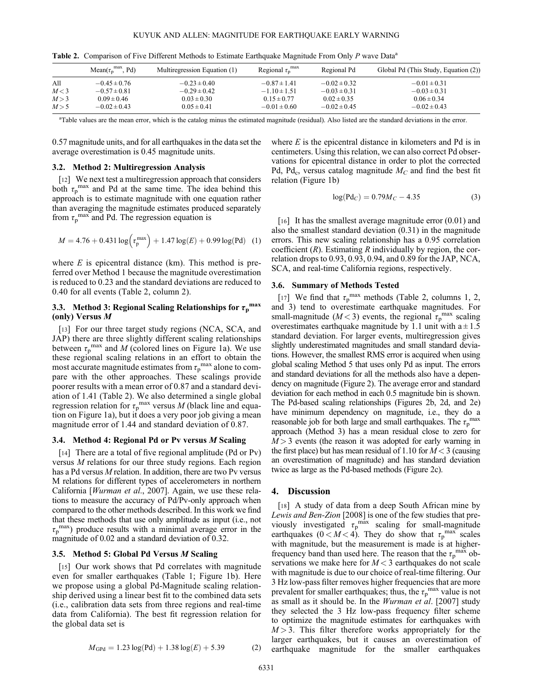|       | Mean( $\tau_{\rm n}^{\rm max}$ , Pd) | Multiregression Equation (1) | Regional $\tau_{\rm n}^{\rm max}$ | Regional Pd      | Global Pd (This Study, Equation (2)) |
|-------|--------------------------------------|------------------------------|-----------------------------------|------------------|--------------------------------------|
| All   | $-0.45 \pm 0.76$                     | $-0.23 \pm 0.40$             | $-0.87 \pm 1.41$                  | $-0.02 \pm 0.32$ | $-0.01 \pm 0.31$                     |
| M<3   | $-0.57 \pm 0.81$                     | $-0.29 \pm 0.42$             | $-1.10 \pm 1.51$                  | $-0.03 \pm 0.31$ | $-0.03 \pm 0.31$                     |
| M > 3 | $0.09 \pm 0.46$                      | $0.03 \pm 0.30$              | $0.15 \pm 0.77$                   | $0.02 \pm 0.35$  | $0.06 \pm 0.34$                      |
| M > 5 | $-0.02 \pm 0.43$                     | $0.05 \pm 0.41$              | $-0.01 \pm 0.60$                  | $-0.02 \pm 0.45$ | $-0.02 \pm 0.43$                     |

Table 2. Comparison of Five Different Methods to Estimate Earthquake Magnitude From Only P wave Data<sup>a</sup>

<sup>a</sup>Table values are the mean error, which is the catalog minus the estimated magnitude (residual). Also listed are the standard deviations in the error.

0.57 magnitude units, and for all earthquakes in the data set the average overestimation is 0.45 magnitude units.

#### 3.2. Method 2: Multiregression Analysis

[12] We next test a multiregression approach that considers both  $\tau_p^{\text{max}}$  and Pd at the same time. The idea behind this approach is to estimate magnitude with one equation rather than averaging the magnitude estimates produced separately from  $\tau_p^{\text{max}}$  and Pd. The regression equation is

$$
M = 4.76 + 0.431 \log \left( \tau_p^{\text{max}} \right) + 1.47 \log(E) + 0.99 \log(\text{Pd}) \quad (1)
$$

where  $E$  is epicentral distance (km). This method is preferred over Method 1 because the magnitude overestimation is reduced to 0.23 and the standard deviations are reduced to 0.40 for all events (Table 2, column 2).

# 3.3. Method 3: Regional Scaling Relationships for  $\tau_{\rm p}^{\rm \; max}$ (only) Versus M

[13] For our three target study regions (NCA, SCA, and JAP) there are three slightly different scaling relationships between  $\tau_p^{\text{max}}$  and M (colored lines on Figure 1a). We use these regional scaling relations in an effort to obtain the most accurate magnitude estimates from  $\tau_p^{\text{max}}$  alone to compare with the other approaches. These scalings provide poorer results with a mean error of 0.87 and a standard deviation of 1.41 (Table 2). We also determined a single global regression relation for  $\tau_p^{\text{max}}$  versus M (black line and equation on Figure 1a), but it does a very poor job giving a mean magnitude error of 1.44 and standard deviation of 0.87.

### 3.4. Method 4: Regional Pd or Pv versus M Scaling

[14] There are a total of five regional amplitude (Pd or Pv) versus M relations for our three study regions. Each region has a Pd versus M relation. In addition, there are two Pv versus M relations for different types of accelerometers in northern California [*Wurman et al.*, 2007]. Again, we use these relations to measure the accuracy of Pd/Pv-only approach when compared to the other methods described. In this work we find that these methods that use only amplitude as input (i.e., not  $\tau_{\rm p}^{\rm max}$ ) produce results with a minimal average error in the magnitude of 0.02 and a standard deviation of 0.32.

### 3.5. Method 5: Global Pd Versus M Scaling

[15] Our work shows that Pd correlates with magnitude even for smaller earthquakes (Table 1; Figure 1b). Here we propose using a global Pd-Magnitude scaling relationship derived using a linear best fit to the combined data sets (i.e., calibration data sets from three regions and real-time data from California). The best fit regression relation for the global data set is

$$
M_{\rm GPd} = 1.23 \log(\text{Pd}) + 1.38 \log(E) + 5.39 \tag{2}
$$

where  $E$  is the epicentral distance in kilometers and Pd is in centimeters. Using this relation, we can also correct Pd observations for epicentral distance in order to plot the corrected Pd, Pd<sub>c</sub>, versus catalog magnitude  $M_C$  and find the best fit relation (Figure 1b)

$$
log(Pd_C) = 0.79M_C - 4.35
$$
 (3)

[16] It has the smallest average magnitude error  $(0.01)$  and also the smallest standard deviation (0.31) in the magnitude errors. This new scaling relationship has a 0.95 correlation coefficient  $(R)$ . Estimating R individually by region, the correlation drops to 0.93, 0.93, 0.94, and 0.89 for the JAP, NCA, SCA, and real-time California regions, respectively.

#### 3.6. Summary of Methods Tested

[17] We find that  $\tau_p^{\text{max}}$  methods (Table 2, columns 1, 2, and 3) tend to overestimate earthquake magnitudes. For small-magnitude ( $M < 3$ ) events, the regional  $\tau_p^{\text{max}}$  scaling overestimates earthquake magnitude by 1.1 unit with  $a \pm 1.5$ standard deviation. For larger events, multiregression gives slightly underestimated magnitudes and small standard deviations. However, the smallest RMS error is acquired when using global scaling Method 5 that uses only Pd as input. The errors and standard deviations for all the methods also have a dependency on magnitude (Figure 2). The average error and standard deviation for each method in each 0.5 magnitude bin is shown. The Pd-based scaling relationships (Figures 2b, 2d, and 2e) have minimum dependency on magnitude, i.e., they do a reasonable job for both large and small earthquakes. The  $\tau_{\rm p}^{\rm max}$ approach (Method 3) has a mean residual close to zero for  $M > 3$  events (the reason it was adopted for early warning in the first place) but has mean residual of 1.10 for  $M < 3$  (causing an overestimation of magnitude) and has standard deviation twice as large as the Pd-based methods (Figure 2c).

### 4. Discussion

[18] A study of data from a deep South African mine by Lewis and Ben-Zion [2008] is one of the few studies that previously investigated  $\tau_p^{\text{max}}$  scaling for small-magnitude earthquakes  $(0 < M < 4)$ . They do show that  $\tau_p^{\max}$  scales with magnitude, but the measurement is made is at higherfrequency band than used here. The reason that the  $\tau_{p}^{\text{max}}$  observations we make here for  $M < 3$  earthquakes do not scale with magnitude is due to our choice of real-time filtering. Our 3 Hz low-pass filter removes higher frequencies that are more prevalent for smaller earthquakes; thus, the  $\tau_p^{\text{max}}$  value is not as small as it should be. In the Wurman et al. [2007] study they selected the 3 Hz low-pass frequency filter scheme to optimize the magnitude estimates for earthquakes with  $M > 3$ . This filter therefore works appropriately for the larger earthquakes, but it causes an overestimation of earthquake magnitude for the smaller earthquakes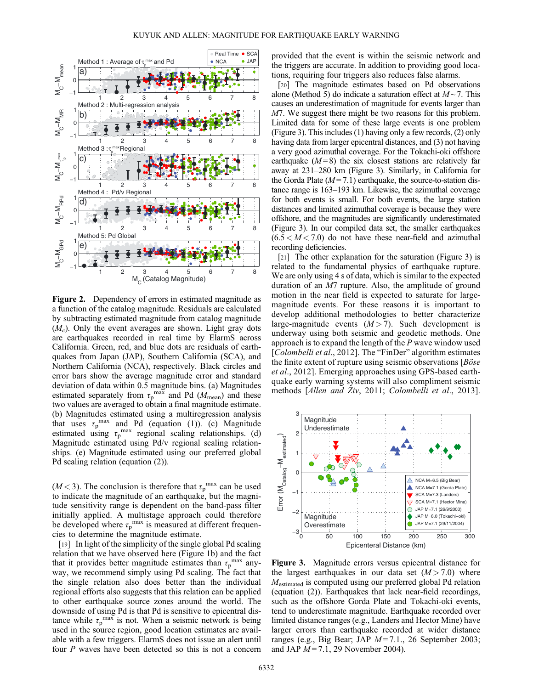

Figure 2. Dependency of errors in estimated magnitude as a function of the catalog magnitude. Residuals are calculated by subtracting estimated magnitude from catalog magnitude  $(M<sub>c</sub>)$ . Only the event averages are shown. Light gray dots are earthquakes recorded in real time by ElarmS across California. Green, red, and blue dots are residuals of earthquakes from Japan (JAP), Southern California (SCA), and Northern California (NCA), respectively. Black circles and error bars show the average magnitude error and standard deviation of data within 0.5 magnitude bins. (a) Magnitudes estimated separately from  $\tau_p^{\text{max}}$  and Pd ( $M_{\text{mean}}$ ) and these two values are averaged to obtain a final magnitude estimate. (b) Magnitudes estimated using a multiregression analysis that uses  $\tau_p^{\text{max}}$  and Pd (equation (1)). (c) Magnitude estimated using  $\tau_p^{\text{max}}$  regional scaling relationships. (d) Magnitude estimated using Pd/v regional scaling relationships. (e) Magnitude estimated using our preferred global Pd scaling relation (equation (2)).

( $M$ <3). The conclusion is therefore that  $\tau_p^{\text{max}}$  can be used to indicate the magnitude of an earthquake, but the magnitude sensitivity range is dependent on the band-pass filter initially applied. A multistage approach could therefore be developed where  $\tau_p^{\text{max}}$  is measured at different frequencies to determine the magnitude estimate.

[19] In light of the simplicity of the single global Pd scaling relation that we have observed here (Figure 1b) and the fact that it provides better magnitude estimates than  $\tau_p^{\text{max}}$  anyway, we recommend simply using Pd scaling. The fact that the single relation also does better than the individual regional efforts also suggests that this relation can be applied to other earthquake source zones around the world. The downside of using Pd is that Pd is sensitive to epicentral distance while  $\tau_p^{\text{max}}$  is not. When a seismic network is being used in the source region, good location estimates are available with a few triggers. ElarmS does not issue an alert until four P waves have been detected so this is not a concern

provided that the event is within the seismic network and the triggers are accurate. In addition to providing good locations, requiring four triggers also reduces false alarms.

[20] The magnitude estimates based on Pd observations alone (Method 5) do indicate a saturation effect at  $M \sim 7$ . This causes an underestimation of magnitude for events larger than M7. We suggest there might be two reasons for this problem. Limited data for some of these large events is one problem (Figure 3). This includes (1) having only a few records, (2) only having data from larger epicentral distances, and (3) not having a very good azimuthal coverage. For the Tokachi-oki offshore earthquake  $(M=8)$  the six closest stations are relatively far away at 231–280 km (Figure 3). Similarly, in California for the Gorda Plate  $(M=7.1)$  earthquake, the source-to-station distance range is 163–193 km. Likewise, the azimuthal coverage for both events is small. For both events, the large station distances and limited azimuthal coverage is because they were offshore, and the magnitudes are significantly underestimated (Figure 3). In our compiled data set, the smaller earthquakes  $(6.5 < M < 7.0)$  do not have these near-field and azimuthal recording deficiencies.

[21] The other explanation for the saturation (Figure 3) is related to the fundamental physics of earthquake rupture. We are only using 4 s of data, which is similar to the expected duration of an M7 rupture. Also, the amplitude of ground motion in the near field is expected to saturate for largemagnitude events. For these reasons it is important to develop additional methodologies to better characterize large-magnitude events  $(M > 7)$ . Such development is underway using both seismic and geodetic methods. One approach is to expand the length of the P wave window used [Colombelli et al., 2012]. The "FinDer" algorithm estimates the finite extent of rupture using seismic observations [Böse et al., 2012]. Emerging approaches using GPS-based earthquake early warning systems will also compliment seismic methods [Allen and Ziv, 2011; Colombelli et al., 2013].



Figure 3. Magnitude errors versus epicentral distance for the largest earthquakes in our data set  $(M > 7.0)$  where Mestimated is computed using our preferred global Pd relation (equation (2)). Earthquakes that lack near-field recordings, such as the offshore Gorda Plate and Tokachi-oki events, tend to underestimate magnitude. Earthquake recorded over limited distance ranges (e.g., Landers and Hector Mine) have larger errors than earthquake recorded at wider distance ranges (e.g., Big Bear; JAP  $M=7.1$ ., 26 September 2003; and JAP  $M = 7.1$ , 29 November 2004).